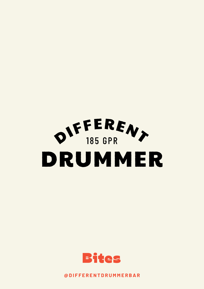



**@ D I F F E R E N T D R U M M E R B A R**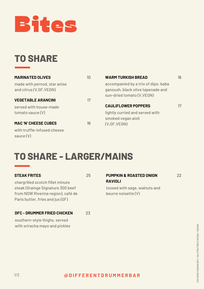

## **TO SHARE**

| <b>MARINATED OLIVES</b>                                  | 10 <sup>1</sup> | <b>WARM TURKISH BREAD</b>                                                                              | 16 |
|----------------------------------------------------------|-----------------|--------------------------------------------------------------------------------------------------------|----|
| made with pernod, star anise<br>and citrus (V, GF, VEGN) |                 | accompanied by a trio of dips: baba<br>ganoush, black olive tapenade and<br>sun-dried tomato (V, VEGN) |    |
| <b>VEGETABLE ARANCINI</b>                                | 17              |                                                                                                        |    |
| served with house-made                                   |                 | <b>CAULIFLOWER POPPERS</b>                                                                             | 17 |
| tomato sauce (V)                                         |                 | lightly curried and served with<br>smoked vegan aioli                                                  |    |
| <b>MAC 'N' CHEESE CUBES</b>                              | 16              | (V,GF, VEGN)                                                                                           |    |
| with truffle-infused cheese<br>sauce (V)                 |                 |                                                                                                        |    |

### **TO SHARE - LARGER/MAINS**

#### **STEAK FRITES**

25

chargrilled scotch fillet minute steak (Grainge Signature 300 beef from NSW Riverina region), café de Paris butter, fries and jus (GF)

#### **DFC - DRUMMER FRIED CHICKEN** 23

southern-style thighs, served with sriracha mayo and pickles

#### **PUMPKIN & ROASTED ONION RAVIOLI** 22

tossed with sage, walnuts and beurre noisette (V)

### **@ D I F F E R E N T D R U M M E R B A R**